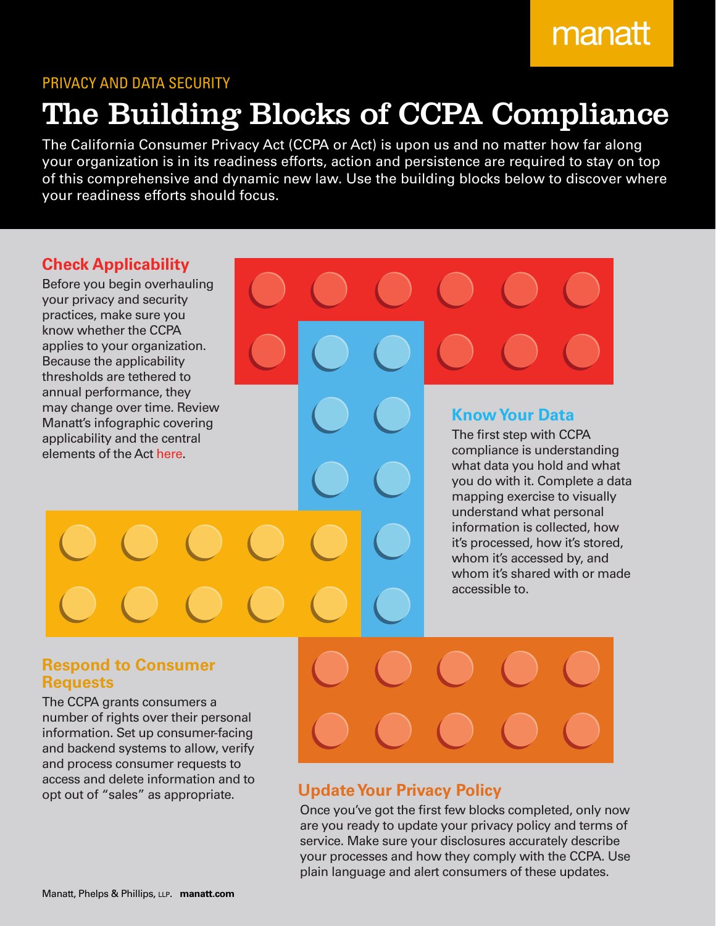# manatt

### PRIVACY AND DATA SECURITY

# The Building Blocks of CCPA Compliance

The California Consumer Privacy Act (CCPA or Act) is upon us and no matter how far along your organization is in its readiness efforts, action and persistence are required to stay on top of this comprehensive and dynamic new law. Use the building blocks below to discover where your readiness efforts should focus.

## **Check Applicability**

Before you begin overhauling your privacy and security practices, make sure you know whether the CCPA applies to your organization. Because the applicability thresholds are tethered to annual performance, they may change over time. Review Manatt's infographic covering applicability and the central elements of the Act [here.](https://www.manatt.com/Insights/Articles/2019/Infographic-The-California-Consumer-Privacy-Act)

### **Know Your Data**

The first step with CCPA compliance is understanding what data you hold and what you do with it. Complete a data mapping exercise to visually understand what personal information is collected, how it's processed, how it's stored, whom it's accessed by, and whom it's shared with or made accessible to.

### **Respond to Consumer Requests**

The CCPA grants consumers a number of rights over their personal information. Set up consumer-facing and backend systems to allow, verify and process consumer requests to access and delete information and to opt out of "sales" as appropriate.

# **Update Your Privacy Policy**

Once you've got the first few blocks completed, only now are you ready to update your privacy policy and terms of service. Make sure your disclosures accurately describe your processes and how they comply with the CCPA. Use plain language and alert consumers of these updates.